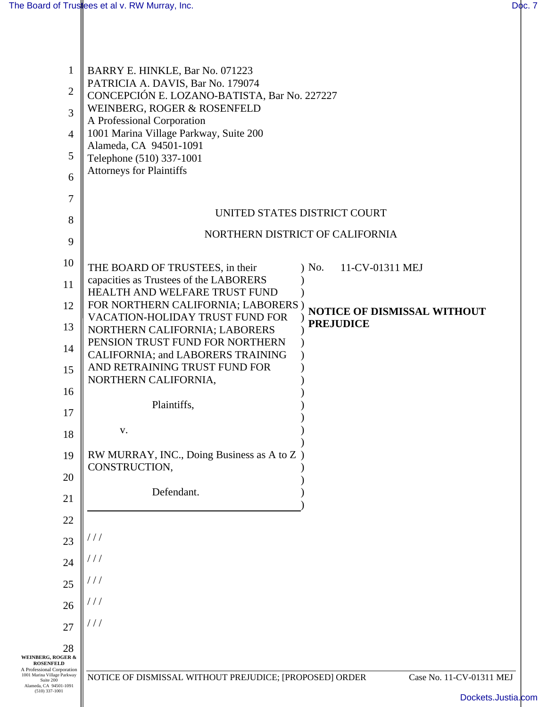| 1                                                                                      | BARRY E. HINKLE, Bar No. 071223                                                   |                                                 |
|----------------------------------------------------------------------------------------|-----------------------------------------------------------------------------------|-------------------------------------------------|
| $\overline{2}$                                                                         | PATRICIA A. DAVIS, Bar No. 179074<br>CONCEPCIÓN E. LOZANO-BATISTA, Bar No. 227227 |                                                 |
| 3                                                                                      | WEINBERG, ROGER & ROSENFELD<br>A Professional Corporation                         |                                                 |
| 4                                                                                      | 1001 Marina Village Parkway, Suite 200                                            |                                                 |
| 5                                                                                      | Alameda, CA 94501-1091<br>Telephone (510) 337-1001                                |                                                 |
| 6                                                                                      | <b>Attorneys for Plaintiffs</b>                                                   |                                                 |
| 7                                                                                      |                                                                                   |                                                 |
| 8                                                                                      | UNITED STATES DISTRICT COURT                                                      |                                                 |
| 9                                                                                      | NORTHERN DISTRICT OF CALIFORNIA                                                   |                                                 |
| 10                                                                                     | THE BOARD OF TRUSTEES, in their                                                   | $)$ No.<br>11-CV-01311 MEJ                      |
| 11                                                                                     | capacities as Trustees of the LABORERS                                            |                                                 |
| 12                                                                                     | HEALTH AND WELFARE TRUST FUND<br>FOR NORTHERN CALIFORNIA; LABORERS                |                                                 |
| 13                                                                                     | VACATION-HOLIDAY TRUST FUND FOR                                                   | NOTICE OF DISMISSAL WITHOUT<br><b>PREJUDICE</b> |
| 14                                                                                     | NORTHERN CALIFORNIA; LABORERS<br>PENSION TRUST FUND FOR NORTHERN                  |                                                 |
|                                                                                        | CALIFORNIA; and LABORERS TRAINING<br>AND RETRAINING TRUST FUND FOR                |                                                 |
| 15                                                                                     | NORTHERN CALIFORNIA,                                                              |                                                 |
| 16                                                                                     | Plaintiffs,                                                                       |                                                 |
| 17                                                                                     |                                                                                   |                                                 |
| 18                                                                                     | v.                                                                                |                                                 |
| 19                                                                                     | RW MURRAY, INC., Doing Business as A to Z )<br>CONSTRUCTION,                      |                                                 |
| 20                                                                                     |                                                                                   |                                                 |
| 21                                                                                     | Defendant.                                                                        |                                                 |
| 22                                                                                     |                                                                                   |                                                 |
| 23                                                                                     |                                                                                   |                                                 |
| 24                                                                                     |                                                                                   |                                                 |
| 25                                                                                     |                                                                                   |                                                 |
| 26                                                                                     |                                                                                   |                                                 |
| 27                                                                                     | ///                                                                               |                                                 |
| 28                                                                                     |                                                                                   |                                                 |
| <b>WEINBERG, ROGER &amp;</b><br><b>ROSENFELD</b><br>A Professional Corporation         |                                                                                   |                                                 |
| 1001 Marina Village Parkway<br>Suite 200<br>Alameda, CA 94501-1091<br>$(510)$ 337-1001 | NOTICE OF DISMISSAL WITHOUT PREJUDICE; [PROPOSED] ORDER                           | Case No. 11-CV-01311 MEJ                        |
|                                                                                        |                                                                                   | Dockets.Justia                                  |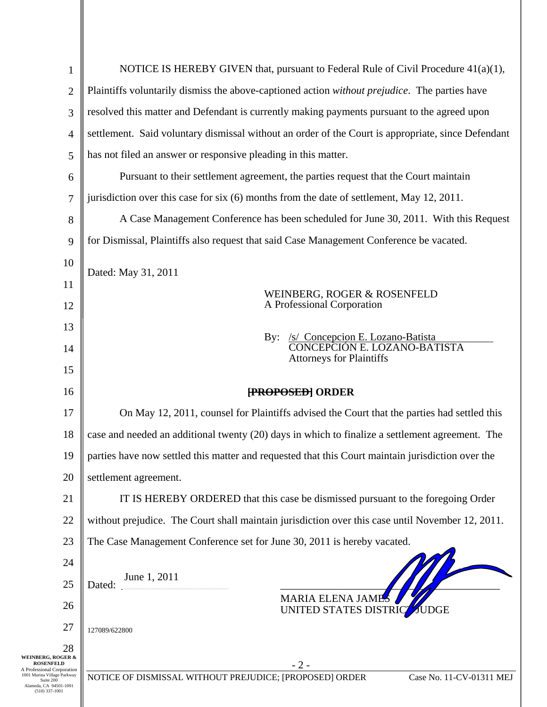| $\mathbf{1}$                                                                                     | NOTICE IS HEREBY GIVEN that, pursuant to Federal Rule of Civil Procedure $41(a)(1)$ ,               |  |  |
|--------------------------------------------------------------------------------------------------|-----------------------------------------------------------------------------------------------------|--|--|
| $\overline{2}$                                                                                   | Plaintiffs voluntarily dismiss the above-captioned action without prejudice. The parties have       |  |  |
| 3                                                                                                | resolved this matter and Defendant is currently making payments pursuant to the agreed upon         |  |  |
| $\overline{4}$                                                                                   | settlement. Said voluntary dismissal without an order of the Court is appropriate, since Defendant  |  |  |
| 5                                                                                                | has not filed an answer or responsive pleading in this matter.                                      |  |  |
| 6                                                                                                | Pursuant to their settlement agreement, the parties request that the Court maintain                 |  |  |
| 7                                                                                                | jurisdiction over this case for six (6) months from the date of settlement, May 12, 2011.           |  |  |
| 8                                                                                                | A Case Management Conference has been scheduled for June 30, 2011. With this Request                |  |  |
| 9                                                                                                | for Dismissal, Plaintiffs also request that said Case Management Conference be vacated.             |  |  |
| 10                                                                                               | Dated: May 31, 2011                                                                                 |  |  |
| 11                                                                                               | WEINBERG, ROGER & ROSENFELD                                                                         |  |  |
| 12                                                                                               | A Professional Corporation                                                                          |  |  |
| 13                                                                                               | By:                                                                                                 |  |  |
| 14                                                                                               | /s/ Concepcion E. Lozano-Batista<br>CONCEPCIÓN E. LOZANO-BATISTA<br><b>Attorneys for Plaintiffs</b> |  |  |
| 15                                                                                               |                                                                                                     |  |  |
|                                                                                                  |                                                                                                     |  |  |
| 16                                                                                               | <b>FROPOSED ORDER</b>                                                                               |  |  |
| 17                                                                                               | On May 12, 2011, counsel for Plaintiffs advised the Court that the parties had settled this         |  |  |
| 18                                                                                               | case and needed an additional twenty (20) days in which to finalize a settlement agreement. The     |  |  |
| 19                                                                                               | parties have now settled this matter and requested that this Court maintain jurisdiction over the   |  |  |
| 20                                                                                               | settlement agreement.                                                                               |  |  |
| 21                                                                                               | IT IS HEREBY ORDERED that this case be dismissed pursuant to the foregoing Order                    |  |  |
| 22                                                                                               | without prejudice. The Court shall maintain jurisdiction over this case until November 12, 2011.    |  |  |
| 23                                                                                               | The Case Management Conference set for June 30, 2011 is hereby vacated.                             |  |  |
| 24                                                                                               |                                                                                                     |  |  |
| 25                                                                                               | June 1, 2011<br>Dated:                                                                              |  |  |
| 26                                                                                               | <b>MARIA ELENA JAME</b><br>UNITED STATES DISTRICZ JUDGE                                             |  |  |
| 27                                                                                               | 127089/622800                                                                                       |  |  |
| 28<br><b>WEINBERG, ROGER &amp;</b><br><b>ROSENFELD</b>                                           |                                                                                                     |  |  |
| A Professional Corporation<br>1001 Marina Village Parkway<br>Suite 200<br>Alameda, CA 94501-1091 | $-2-$<br>NOTICE OF DISMISSAL WITHOUT PREJUDICE; [PROPOSED] ORDER<br>Case No. 11-CV-01311 MEJ        |  |  |